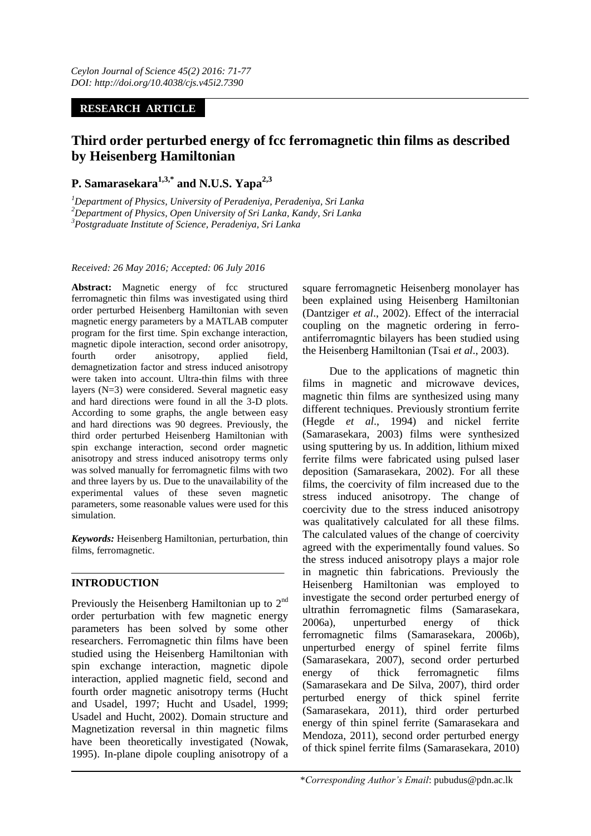## **RESEARCH ARTICLE**

# **Third order perturbed energy of fcc ferromagnetic thin films as described by Heisenberg Hamiltonian**

**P. Samarasekara1,3,\* and N.U.S. Yapa2,3**

*<sup>1</sup>Department of Physics, University of Peradeniya, Peradeniya, Sri Lanka <sup>2</sup>Department of Physics, Open University of Sri Lanka, Kandy, Sri Lanka <sup>3</sup>Postgraduate Institute of Science, Peradeniya, Sri Lanka* 

*Received: 26 May 2016; Accepted: 06 July 2016*

Abstract: Magnetic energy of fcc structured ferromagnetic thin films was investigated using third order perturbed Heisenberg Hamiltonian with seven magnetic energy parameters by a MATLAB computer program for the first time. Spin exchange interaction, magnetic dipole interaction, second order anisotropy, fourth order anisotropy, applied field, demagnetization factor and stress induced anisotropy were taken into account. Ultra-thin films with three layers (N=3) were considered. Several magnetic easy and hard directions were found in all the 3-D plots. According to some graphs, the angle between easy and hard directions was 90 degrees. Previously, the third order perturbed Heisenberg Hamiltonian with spin exchange interaction, second order magnetic anisotropy and stress induced anisotropy terms only was solved manually for ferromagnetic films with two and three layers by us. Due to the unavailability of the experimental values of these seven magnetic parameters, some reasonable values were used for this simulation.

*Keywords:* Heisenberg Hamiltonian, perturbation, thin films, ferromagnetic.

## **INTRODUCTION**

Previously the Heisenberg Hamiltonian up to 2<sup>nd</sup> order perturbation with few magnetic energy parameters has been solved by some other researchers. Ferromagnetic thin films have been studied using the Heisenberg Hamiltonian with spin exchange interaction, magnetic dipole interaction, applied magnetic field, second and fourth order magnetic anisotropy terms (Hucht and Usadel, 1997; Hucht and Usadel, 1999; Usadel and Hucht, 2002). Domain structure and Magnetization reversal in thin magnetic films have been theoretically investigated (Nowak, 1995). In-plane dipole coupling anisotropy of a

square ferromagnetic Heisenberg monolayer has been explained using Heisenberg Hamiltonian (Dantziger *et al*., 2002). Effect of the interracial coupling on the magnetic ordering in ferroantiferromagntic bilayers has been studied using the Heisenberg Hamiltonian (Tsai *et al*., 2003).

Due to the applications of magnetic thin films in magnetic and microwave devices, magnetic thin films are synthesized using many different techniques. Previously strontium ferrite (Hegde *et al*., 1994) and nickel ferrite (Samarasekara, 2003) films were synthesized using sputtering by us. In addition, lithium mixed ferrite films were fabricated using pulsed laser deposition (Samarasekara, 2002). For all these films, the coercivity of film increased due to the stress induced anisotropy. The change of coercivity due to the stress induced anisotropy was qualitatively calculated for all these films. The calculated values of the change of coercivity agreed with the experimentally found values. So the stress induced anisotropy plays a major role in magnetic thin fabrications. Previously the Heisenberg Hamiltonian was employed to investigate the second order perturbed energy of ultrathin ferromagnetic films (Samarasekara, 2006a), unperturbed energy of thick ferromagnetic films (Samarasekara, 2006b), unperturbed energy of spinel ferrite films (Samarasekara, 2007), second order perturbed energy of thick ferromagnetic films (Samarasekara and De Silva, 2007), third order perturbed energy of thick spinel ferrite (Samarasekara, 2011), third order perturbed energy of thin spinel ferrite (Samarasekara and Mendoza, 2011), second order perturbed energy of thick spinel ferrite films (Samarasekara, 2010)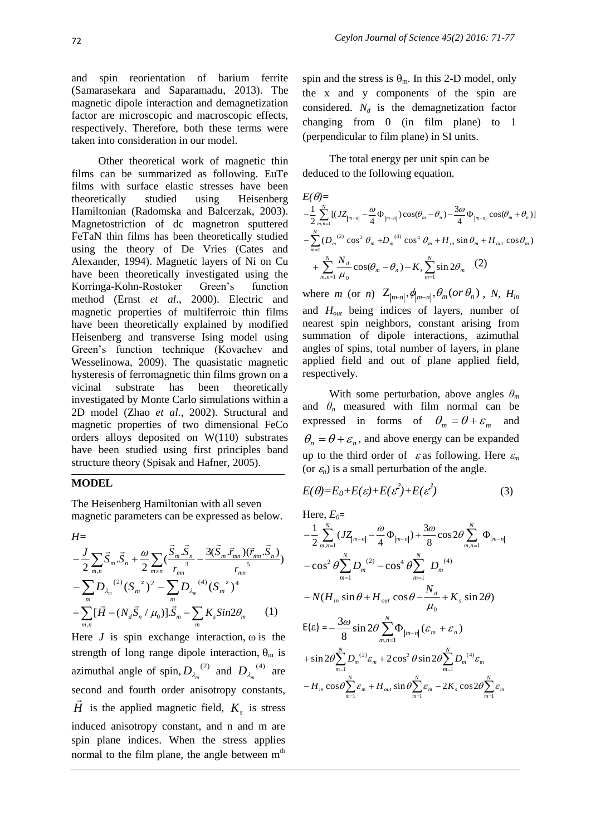and spin reorientation of barium ferrite (Samarasekara and Saparamadu, 2013). The magnetic dipole interaction and demagnetization factor are microscopic and macroscopic effects, respectively. Therefore, both these terms were taken into consideration in our model.

Other theoretical work of magnetic thin films can be summarized as following. EuTe films with surface elastic stresses have been theoretically studied using Heisenberg Hamiltonian (Radomska and Balcerzak, 2003). Magnetostriction of dc magnetron sputtered FeTaN thin films has been theoretically studied using the theory of De Vries (Cates and Alexander, 1994). Magnetic layers of Ni on Cu have been theoretically investigated using the Korringa-Kohn-Rostoker Green's function method (Ernst *et al*., 2000). Electric and magnetic properties of multiferroic thin films have been theoretically explained by modified Heisenberg and transverse Ising model using Green's function technique (Kovachev and Wesselinowa, 2009). The quasistatic magnetic hysteresis of ferromagnetic thin films grown on a vicinal substrate has been theoretically investigated by Monte Carlo simulations within a 2D model (Zhao *et al*., 2002). Structural and magnetic properties of two dimensional FeCo orders alloys deposited on W(110) substrates have been studied using first principles band structure theory (Spisak and Hafner, 2005).

### **MODEL**

The Heisenberg Hamiltonian with all seven magnetic parameters can be expressed as below.

$$
H=\n- \frac{J}{2} \sum_{m,n} \vec{S}_m \cdot \vec{S}_n + \frac{\omega}{2} \sum_{m \neq n} (\frac{\vec{S}_m \cdot \vec{S}_n}{r_m^3} - \frac{3(\vec{S}_m \cdot \vec{r}_{mn})(\vec{r}_{mn} \cdot \vec{S}_n)}{r_{mn}^5})\n- \sum_{m} D_{\lambda_m}^{(2)} (S_m^z)^2 - \sum_{m} D_{\lambda_m}^{(4)} (S_m^z)^4\n- \sum_{m,n} [\vec{H} - (N_d \vec{S}_n / \mu_0)].\vec{S}_m - \sum_{m} K_s Sin2\theta_m
$$
 (1)

Here *J* is spin exchange interaction,  $\omega$  is the strength of long range dipole interaction,  $\theta_m$  is azimuthal angle of spin,  $D_2^{(2)}$  $D_{\lambda_m}^{(2)}$  and  $D_{\lambda_m}^{(4)}$  $D_{\lambda_m}^{(4)}$  are second and fourth order anisotropy constants, *H* is the applied magnetic field,  $K_s$  is stress induced anisotropy constant, and n and m are spin plane indices. When the stress applies normal to the film plane, the angle between  $m<sup>th</sup>$ 

spin and the stress is  $\theta_m$ . In this 2-D model, only the x and y components of the spin are considered.  $N_d$  is the demagnetization factor changing from 0 (in film plane) to 1 (perpendicular to film plane) in SI units.

The total energy per unit spin can be deduced to the following equation.

$$
E(\theta) =
$$
  
\n
$$
-\frac{1}{2} \sum_{m,n=1}^{N} [(JZ_{|m-n|} - \frac{\omega}{4} \Phi_{|m-n|}) \cos(\theta_m - \theta_n) - \frac{3\omega}{4} \Phi_{|m-n|} \cos(\theta_m + \theta_n)]
$$
  
\n
$$
-\sum_{m=1}^{N} (D_m^{(2)} \cos^2 \theta_m + D_m^{(4)} \cos^4 \theta_m + H_m \sin \theta_m + H_{out} \cos \theta_m)
$$
  
\n
$$
+\sum_{m,n=1}^{N} \frac{N_d}{\mu_0} \cos(\theta_m - \theta_n) - K_s \sum_{m=1}^{N} \sin 2\theta_m
$$
 (2)

where *m* (or *n*)  $Z_{|m-n|}, \phi_{|m-n|}, \theta_m (or \theta_n)$ , *N*,  $H_{in}$ and *Hout* being indices of layers, number of nearest spin neighbors, constant arising from summation of dipole interactions, azimuthal angles of spins, total number of layers, in plane applied field and out of plane applied field, respectively.

With some perturbation, above angles *θ<sup>m</sup>* and  $\theta_n$  measured with film normal can be expressed in forms of  $\theta_m = \theta + \varepsilon_m$ and  $\theta_n = \theta + \varepsilon_n$ , and above energy can be expanded up to the third order of  $\varepsilon$  as following. Here  $\varepsilon_m$ (or  $\varepsilon_n$ ) is a small perturbation of the angle.

$$
E(\theta) = E_0 + E(\varepsilon) + E(\varepsilon^2) + E(\varepsilon^3)
$$
\n(3)

Here,  $E_0$ =

$$
-\frac{1}{2}\sum_{m,n=1}^{N} (JZ_{|m-n|} - \frac{\omega}{4}\Phi_{|m-n|}) + \frac{3\omega}{8}\cos 2\theta \sum_{m,n=1}^{N} \Phi_{|m-n|}
$$
  
\n
$$
-\cos^{2}\theta \sum_{m=1}^{N} D_{m}^{(2)} - \cos^{4}\theta \sum_{m=1}^{N} D_{m}^{(4)}
$$
  
\n
$$
-N(H_{in} \sin \theta + H_{out} \cos \theta - \frac{N_{d}}{\mu_{0}} + K_{s} \sin 2\theta)
$$
  
\n
$$
E(\varepsilon) = -\frac{3\omega}{8}\sin 2\theta \sum_{m,n=1}^{N} \Phi_{|m-n|}(\varepsilon_{m} + \varepsilon_{n})
$$
  
\n
$$
+ \sin 2\theta \sum_{m=1}^{N} D_{m}^{(2)} \varepsilon_{m} + 2\cos^{2}\theta \sin 2\theta \sum_{m=1}^{N} D_{m}^{(4)} \varepsilon_{m}
$$
  
\n
$$
-H_{in} \cos \theta \sum_{m=1}^{N} \varepsilon_{m} + H_{out} \sin \theta \sum_{m=1}^{N} \varepsilon_{m} - 2K_{s} \cos 2\theta \sum_{m=1}^{N} \varepsilon_{m}
$$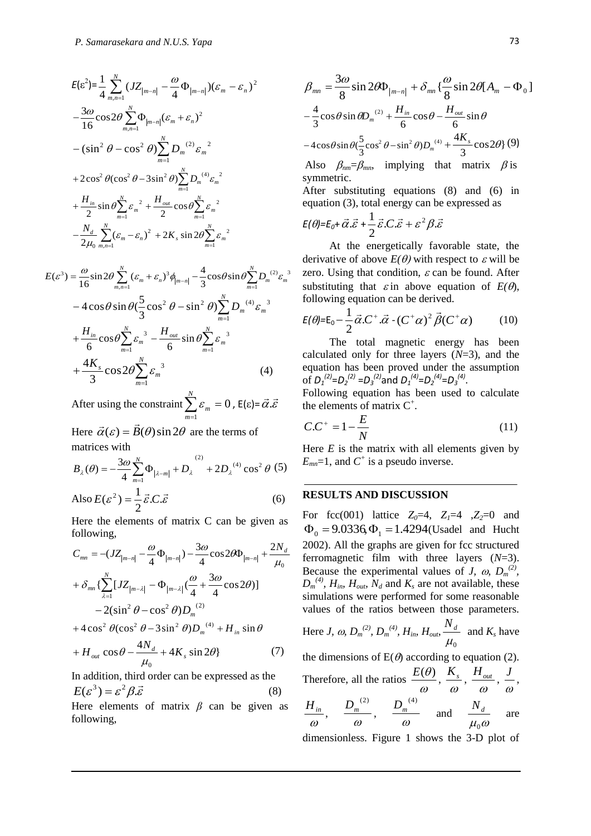$$
E(\varepsilon^{2}) = \frac{1}{4} \sum_{m,n=1}^{N} (JZ_{|m-n|} - \frac{\omega}{4} \Phi_{|m-n|}) (\varepsilon_{m} - \varepsilon_{n})^{2}
$$
  

$$
- \frac{3\omega}{16} \cos 2\theta \sum_{m,n=1}^{N} \Phi_{|m-n|} (\varepsilon_{m} + \varepsilon_{n})^{2}
$$
  

$$
- (\sin^{2} \theta - \cos^{2} \theta) \sum_{m=1}^{N} D_{m}^{(2)} \varepsilon_{m}^{2}
$$
  

$$
+ 2 \cos^{2} \theta (\cos^{2} \theta - 3 \sin^{2} \theta) \sum_{m=1}^{N} D_{m}^{(4)} \varepsilon_{m}^{2}
$$
  

$$
+ \frac{H_{in}}{2} \sin \theta \sum_{m=1}^{N} \varepsilon_{m}^{2} + \frac{H_{out}}{2} \cos \theta \sum_{m=1}^{N} \varepsilon_{m}^{2}
$$
  

$$
- \frac{N_{d}}{2\mu_{0}} \sum_{m,n=1}^{N} (\varepsilon_{m} - \varepsilon_{n})^{2} + 2K_{s} \sin 2\theta \sum_{m=1}^{N} \varepsilon_{m}^{2}
$$

$$
E(\varepsilon^{3}) = \frac{\omega}{16} \sin 2\theta \sum_{m,n=1}^{N} (\varepsilon_{m} + \varepsilon_{n})^{3} \phi_{m-n} - \frac{4}{3} \cos \theta \sin \theta \sum_{m=1}^{N} D_{m}^{(2)} \varepsilon_{m}^{3}
$$

$$
- 4 \cos \theta \sin \theta (\frac{5}{3} \cos^{2} \theta - \sin^{2} \theta) \sum_{m=1}^{N} D_{m}^{(4)} \varepsilon_{m}^{3}
$$

$$
+ \frac{H_{in}}{6} \cos \theta \sum_{m=1}^{N} \varepsilon_{m}^{3} - \frac{H_{out}}{6} \sin \theta \sum_{m=1}^{N} \varepsilon_{m}^{3}
$$

$$
+ \frac{4K_{s}}{3} \cos 2\theta \sum_{m=1}^{N} \varepsilon_{m}^{3}
$$
(4)

After using the constraint  $\sum_{m=1}^{N} \varepsilon_m =$ *m*  $\varepsilon_m = 0$ ,  $E(\varepsilon) = \vec{\alpha} \cdot \vec{\varepsilon}$ 1

Here  $\vec{\alpha}(\varepsilon) = \vec{B}(\theta) \sin 2\theta$  $= \vec{B}(\theta) \sin 2\theta$  are the terms of matrices with

$$
B_{\lambda}(\theta) = -\frac{3\omega}{4} \sum_{m=1}^{N} \Phi_{|\lambda-m|} + D_{\lambda}^{(2)} + 2D_{\lambda}^{(4)} \cos^{2} \theta (5)
$$
  
Also  $E(\varepsilon^{2}) = \frac{1}{2} \vec{\varepsilon} . C . \vec{\varepsilon}$  (6)

Here the elements of matrix C can be given as following,

$$
C_{mn} = -(JZ_{|m-n|} - \frac{\omega}{4}\Phi_{|m-n|}) - \frac{3\omega}{4}\cos 2\theta \Phi_{|m-n|} + \frac{2N_d}{\mu_0}
$$
  
+  $\delta_{mn}\left\{\sum_{\lambda=1}^{N} [JZ_{|m-\lambda|} - \Phi_{|m-\lambda|}(\frac{\omega}{4} + \frac{3\omega}{4}\cos 2\theta)] - 2(\sin^2 \theta - \cos^2 \theta)D_m^{(2)}\right\}$ 

 $+4\cos^2\theta(\cos^2\theta - 3\sin^2\theta)D_m^{(4)} + H_m\sin\theta$ 

$$
+H_{out}\cos\theta - \frac{4N_d}{\mu_0} + 4K_s\sin 2\theta\}
$$
 (7)

In addition, third order can be expressed as the  $E(\varepsilon^3) = \varepsilon^2 \beta \cdot \vec{\varepsilon}$ (8)

Here elements of matrix *β* can be given as following,

$$
\beta_{mn} = \frac{3\omega}{8} \sin 2\theta \Phi_{|m-n|} + \delta_{mn} \left\{ \frac{\omega}{8} \sin 2\theta [A_m - \Phi_0] \right\}
$$

$$
- \frac{4}{3} \cos \theta \sin \theta D_m^{(2)} + \frac{H_m}{6} \cos \theta - \frac{H_{out}}{6} \sin \theta
$$

$$
- 4 \cos \theta \sin \theta (\frac{5}{3} \cos^2 \theta - \sin^2 \theta) D_m^{(4)} + \frac{4K_s}{3} \cos 2\theta \left\{ \frac{\Theta}{\Theta} \right\}
$$
Also  $\beta_{nm} = \beta_{mn}$ , implying that matrix  $\beta$  is symmetric.

After substituting equations (8) and (6) in equation (3), total energy can be expressed as

$$
E(\theta) = E_0 + \vec{\alpha} \cdot \vec{\varepsilon} + \frac{1}{2} \vec{\varepsilon} \cdot C \cdot \vec{\varepsilon} + \varepsilon^2 \beta \cdot \vec{\varepsilon}
$$

At the energetically favorable state, the derivative of above  $E(\theta)$  with respect to  $\varepsilon$  will be zero. Using that condition,  $\varepsilon$  can be found. After substituting that  $\varepsilon$  in above equation of  $E(\theta)$ , following equation can be derived.

$$
E(\theta) = E_0 - \frac{1}{2}\vec{\alpha} \cdot C^+ \cdot \vec{\alpha} - (C^+\alpha)^2 \vec{\beta} (C^+\alpha)
$$
 (10)

The total magnetic energy has been calculated only for three layers (*N*=3), and the equation has been proved under the assumption of  $D_1^{(2)} = D_2^{(2)} = D_3^{(2)}$  and  $D_1^{(4)} = D_2^{(4)} = D_3^{(4)}$ .

Following equation has been used to calculate the elements of matrix C<sup>+</sup>.

$$
C.C^{+} = 1 - \frac{E}{N}
$$
 (11)

Here  $E$  is the matrix with all elements given by  $E_{mn}$ =1, and  $C^+$  is a pseudo inverse.

## **RESULTS AND DISCUSSION**

For fcc(001) lattice  $Z_0=4$ ,  $Z_1=4$ ,  $Z_2=0$  and  $\Phi_0 = 9.0336$ ,  $\Phi_1 = 1.4294$  (Usadel and Hucht 2002). All the graphs are given for fcc structured ferromagnetic film with three layers (*N*=3). Because the experimental values of *J,*  $\omega$ *, D<sub>m</sub><sup>(2)</sup>,*  $D_m^{(4)}$ ,  $H_{in}$ ,  $H_{out}$ ,  $N_d$  and  $K_s$  are not available, these simulations were performed for some reasonable values of the ratios between those parameters. Here *J*,  $\omega$ ,  $D_m^{(2)}$ ,  $D_m^{(4)}$ ,  $H_{in}$ ,  $H_{out}$  $\mu_{_0}$  $\frac{N_d}{N}$  and  $K_s$  have the dimensions of  $E(\theta)$  according to equation (2). Therefore, all the ratios  $\frac{2\pi}{\omega}$  $\frac{E(\theta)}{\omega}, \frac{K_s}{\omega}$  $\frac{K_s}{\omega}, \frac{H_{\omega}}{\omega}$  $\frac{H_{\textit{\text{out}}}}{\omega}, \frac{J}{\omega}$ *J* ,

$$
\frac{H_{in}}{\omega}, \quad \frac{D_m^{(2)}}{\omega}, \quad \frac{D_m^{(4)}}{\omega} \quad \text{and} \quad \frac{N_d}{\mu_0 \omega} \quad \text{are}
$$

dimensionless. Figure 1 shows the 3-D plot of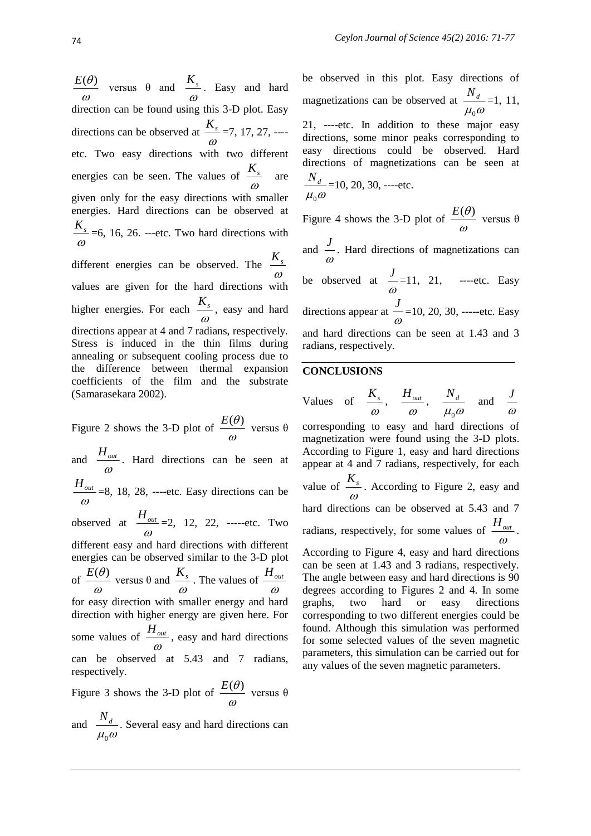$\omega$ *E*( $\theta$ ) versus  $\theta$  and  $\frac{K_s}{\theta}$ . Easy and hard  $\omega$ direction can be found using this 3-D plot. Easy directions can be observed at  $\frac{R_s}{\omega}$ *Ks* =7, 17, 27, --- etc. Two easy directions with two different energies can be seen. The values of  $\frac{ds}{\omega}$  $K_s$  are given only for the easy directions with smaller energies. Hard directions can be observed at  $\omega$  $K_s$  =6, 16, 26. ---etc. Two hard directions with *Ks*

different energies can be observed. The  $\frac{ds}{\omega}$ values are given for the hard directions with higher energies. For each  $\frac{1}{\omega}$ *Ks* , easy and hard directions appear at 4 and 7 radians, respectively. Stress is induced in the thin films during annealing or subsequent cooling process due to the difference between thermal expansion coefficients of the film and the substrate (Samarasekara 2002).

Figure 2 shows the 3-D plot of  $\frac{2\pi}{\omega}$  $E(θ)$  versus θ

and  $\frac{H_{oa}}{\omega}$ *Hout* . Hard directions can be seen at

 $\omega$  $\frac{H_{out}}{H}$  =8, 18, 28, ----etc. Easy directions can be

observed at  $\frac{160}{a}$ *H*<sub>out</sub> = 2, 12, 22, -----etc. Two different easy and hard directions with different

energies can be observed similar to the 3-D plot of  $\frac{2\pi}{\omega}$  $rac{E(\theta)}{\omega}$  versus  $\theta$  and  $rac{K_s}{\omega}$  $\frac{K_s}{\omega}$ . The values of  $\frac{H_{\omega}}{\omega}$ *Hout* for easy direction with smaller energy and hard direction with higher energy are given here. For

some values of  $\frac{12a}{\omega}$ *Hout* , easy and hard directions can be observed at 5.43 and 7 radians,

respectively. Figure 3 shows the 3-D plot of  $\frac{E(\theta)}{E(\theta)}$  $\theta$ 

Figure 3 shows the 3-D plot of 
$$
\overline{\omega}
$$
 versus

and 
$$
\frac{N_d}{\mu_0 \omega}
$$
. Several easy and hard directions can

be observed in this plot. Easy directions of magnetizations can be observed at  $\mu_{\scriptscriptstyle 0}$ @  $\frac{N_d}{M}$ =1, 11, 21, ----etc. In addition to these major easy directions, some minor peaks corresponding to easy directions could be observed. Hard directions of magnetizations can be seen at  $\mu_{\scriptscriptstyle 0}$ w  $\frac{N_d}{M}$  =10, 20, 30, ----etc. Figure 4 shows the 3-D plot of  $\frac{2\pi}{\omega}$  $E(θ)$  versus θ and  $\frac{6}{\omega}$ *J* . Hard directions of magnetizations can be observed at  $\frac{6}{\omega}$ *J*– =11, 21, ----etc. Easy

directions appear at  $\frac{6}{\omega}$ *J*<br>  $=$  =10, 20, 30, -----etc. Easy and hard directions can be seen at 1.43 and 3 radians, respectively.

### **CONCLUSIONS**

Values of 
$$
\frac{K_s}{\omega}
$$
,  $\frac{H_{out}}{\omega}$ ,  $\frac{N_d}{\mu_0 \omega}$  and  $\frac{J}{\omega}$ 

corresponding to easy and hard directions of magnetization were found using the 3-D plots. According to Figure 1, easy and hard directions appear at 4 and 7 radians, respectively, for each value of  $\frac{H_s}{\omega}$ *Ks* . According to Figure 2, easy and hard directions can be observed at 5.43 and 7 radians, respectively, for some values of  $\frac{1}{\omega}$  $H_{\omega_{ut}}$ . According to Figure 4, easy and hard directions

can be seen at 1.43 and 3 radians, respectively. The angle between easy and hard directions is 90 degrees according to Figures 2 and 4. In some graphs, two hard or easy directions corresponding to two different energies could be found. Although this simulation was performed for some selected values of the seven magnetic parameters, this simulation can be carried out for any values of the seven magnetic parameters.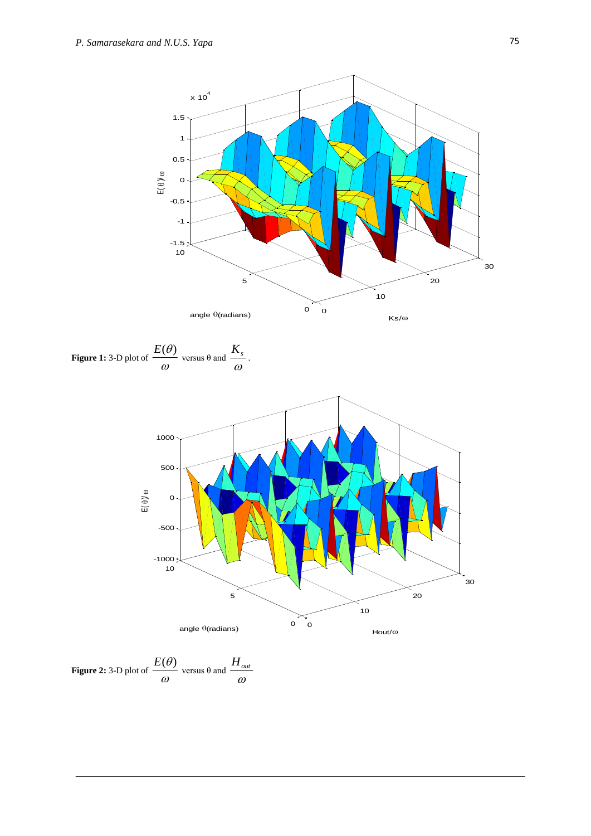

**Figure 2:** 3-D plot of 
$$
\frac{E(\theta)}{\omega}
$$
 versus  $\theta$  and  $\frac{H_{out}}{\omega}$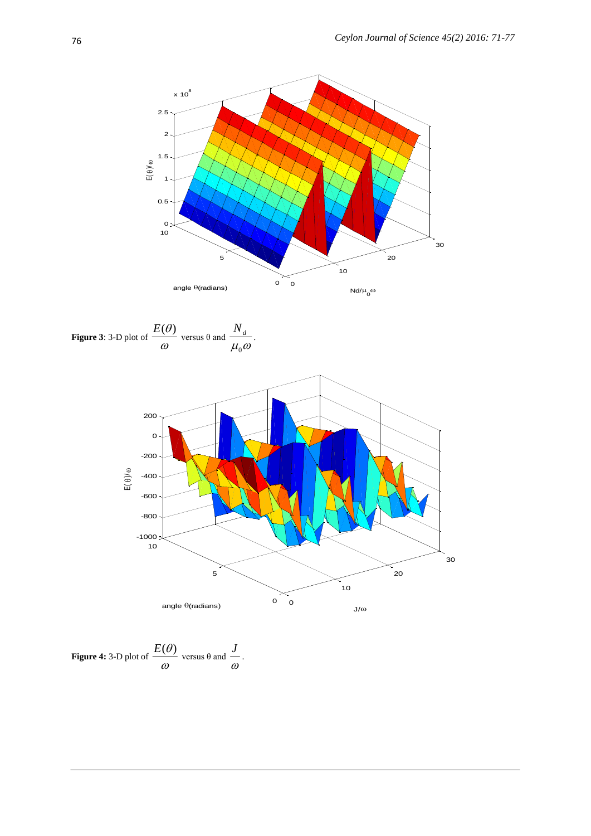





**Figure 4:** 3-D plot of 
$$
\frac{E(\theta)}{\omega}
$$
 versus  $\theta$  and  $\frac{J}{\omega}$ .